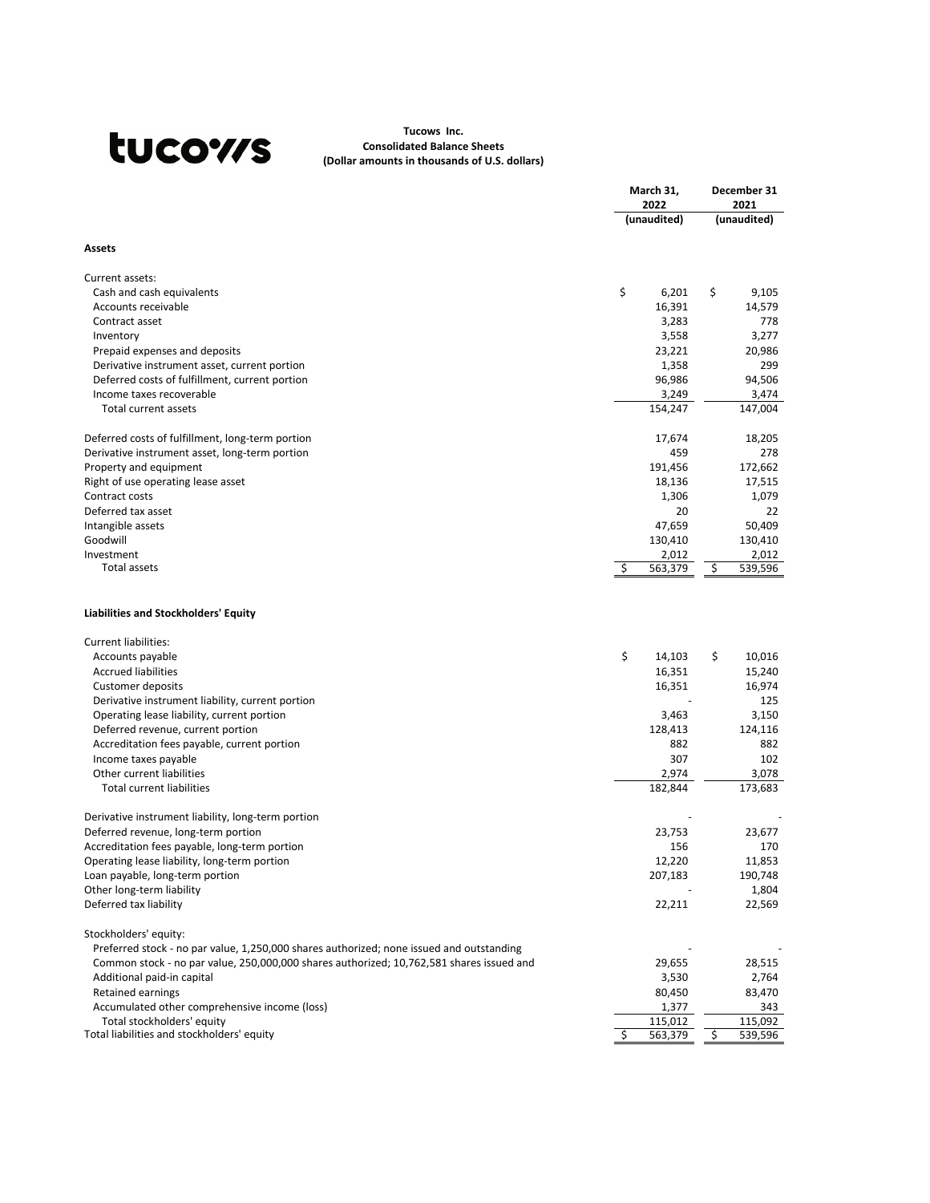# tucows

## **Tucows Inc. Consolidated Balance Sheets (Dollar amounts in thousands of U.S. dollars)**

|                                                                                                |     | March 31,           |    | December 31         |  |
|------------------------------------------------------------------------------------------------|-----|---------------------|----|---------------------|--|
|                                                                                                |     | 2022<br>(unaudited) |    | 2021<br>(unaudited) |  |
|                                                                                                |     |                     |    |                     |  |
| <b>Assets</b>                                                                                  |     |                     |    |                     |  |
| Current assets:                                                                                |     |                     |    |                     |  |
| Cash and cash equivalents                                                                      | \$  | 6,201               | \$ | 9,105               |  |
| Accounts receivable                                                                            |     | 16,391              |    | 14,579              |  |
| Contract asset                                                                                 |     | 3,283               |    | 778                 |  |
| Inventory                                                                                      |     | 3,558               |    | 3,277               |  |
| Prepaid expenses and deposits                                                                  |     | 23,221              |    | 20,986              |  |
| Derivative instrument asset, current portion                                                   |     | 1,358               |    | 299                 |  |
| Deferred costs of fulfillment, current portion                                                 |     | 96,986              |    | 94,506              |  |
| Income taxes recoverable                                                                       |     | 3,249               |    | 3,474               |  |
| <b>Total current assets</b>                                                                    |     | 154,247             |    | 147,004             |  |
| Deferred costs of fulfillment, long-term portion                                               |     | 17,674              |    | 18,205              |  |
| Derivative instrument asset, long-term portion                                                 |     | 459                 |    | 278                 |  |
| Property and equipment                                                                         |     | 191,456             |    | 172,662             |  |
| Right of use operating lease asset                                                             |     | 18,136              |    | 17,515              |  |
| Contract costs                                                                                 |     | 1,306               |    | 1,079               |  |
| Deferred tax asset                                                                             |     | 20                  |    | 22                  |  |
| Intangible assets                                                                              |     | 47,659              |    | 50,409              |  |
| Goodwill                                                                                       |     | 130,410             |    | 130,410             |  |
| Investment<br>Total assets                                                                     | \$. | 2,012<br>563,379    | \$ | 2,012<br>539,596    |  |
| <b>Liabilities and Stockholders' Equity</b>                                                    |     |                     |    |                     |  |
|                                                                                                |     |                     |    |                     |  |
| <b>Current liabilities:</b>                                                                    |     |                     |    |                     |  |
| Accounts payable                                                                               | \$  | 14,103              | \$ | 10,016              |  |
| <b>Accrued liabilities</b>                                                                     |     | 16,351              |    | 15,240              |  |
| <b>Customer deposits</b>                                                                       |     | 16,351              |    | 16,974<br>125       |  |
| Derivative instrument liability, current portion<br>Operating lease liability, current portion |     | 3,463               |    | 3,150               |  |
| Deferred revenue, current portion                                                              |     | 128,413             |    | 124,116             |  |
| Accreditation fees payable, current portion                                                    |     | 882                 |    | 882                 |  |
| Income taxes payable                                                                           |     | 307                 |    | 102                 |  |
| Other current liabilities                                                                      |     | 2,974               |    | 3,078               |  |
| <b>Total current liabilities</b>                                                               |     | 182,844             |    | 173,683             |  |
|                                                                                                |     |                     |    |                     |  |
| Derivative instrument liability, long-term portion                                             |     |                     |    |                     |  |
| Deferred revenue, long-term portion                                                            |     | 23,753              |    | 23,677              |  |
| Accreditation fees payable, long-term portion                                                  |     | 156                 |    | 170                 |  |
| Operating lease liability, long-term portion                                                   |     | 12,220              |    | 11,853              |  |
| Loan payable, long-term portion                                                                |     | 207,183             |    | 190,748             |  |
| Other long-term liability                                                                      |     |                     |    | 1,804               |  |
| Deferred tax liability                                                                         |     | 22,211              |    | 22,569              |  |
| Stockholders' equity:                                                                          |     |                     |    |                     |  |
| Preferred stock - no par value, 1,250,000 shares authorized; none issued and outstanding       |     |                     |    |                     |  |
| Common stock - no par value, 250,000,000 shares authorized; 10,762,581 shares issued and       |     | 29,655              |    | 28,515              |  |
| Additional paid-in capital                                                                     |     | 3,530               |    | 2,764               |  |
| Retained earnings                                                                              |     | 80,450              |    | 83,470              |  |
| Accumulated other comprehensive income (loss)                                                  |     | 1,377               |    | 343                 |  |
| Total stockholders' equity<br>Total liabilities and stockholders' equity                       |     | 115,012             |    | 115,092             |  |
|                                                                                                | S   | 563,379             | \$ | 539,596             |  |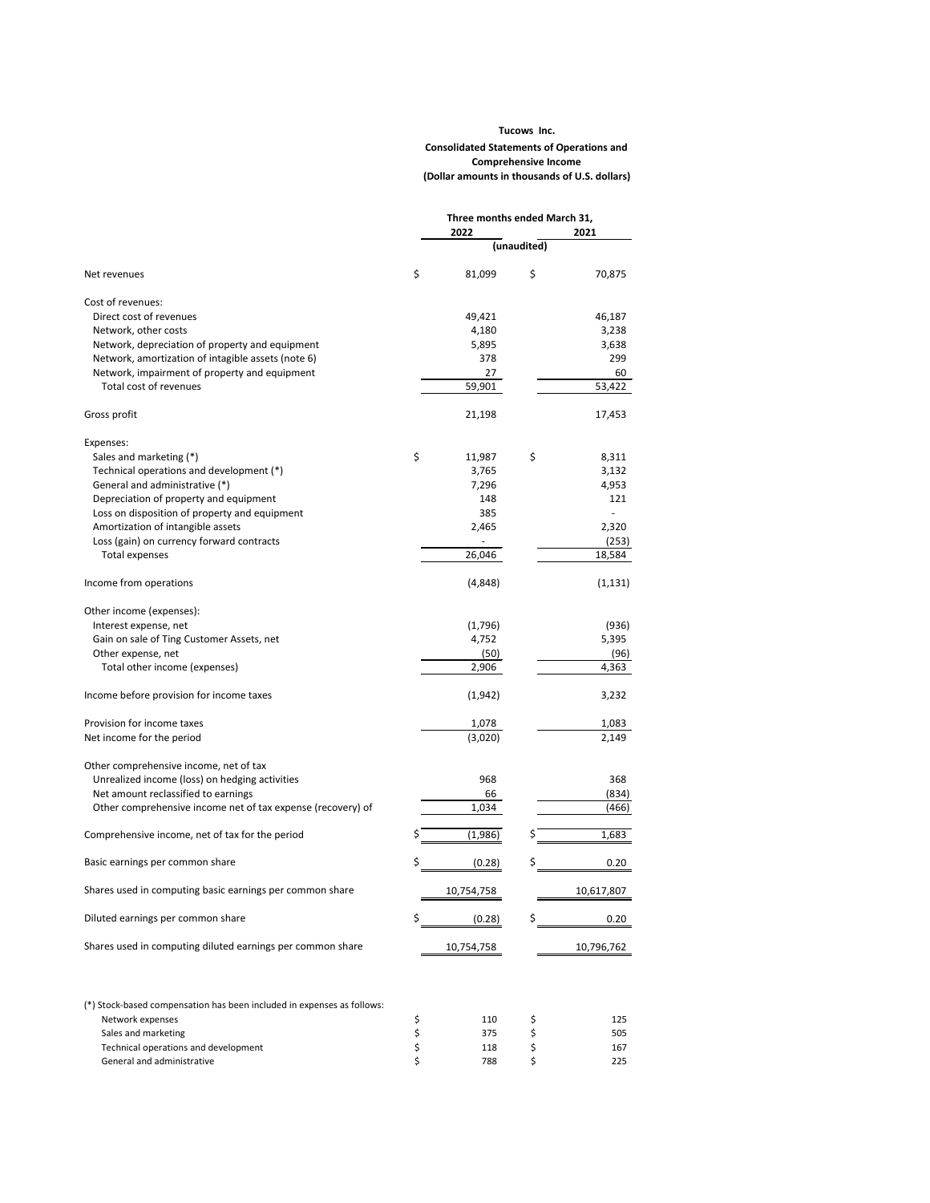|                                                             | Three months ended March 31, |             |            |  |  |
|-------------------------------------------------------------|------------------------------|-------------|------------|--|--|
|                                                             | 2022                         |             | 2021       |  |  |
|                                                             |                              | (unaudited) |            |  |  |
| Net revenues                                                | \$<br>81,099                 | \$          | 70,875     |  |  |
| Cost of revenues:                                           |                              |             |            |  |  |
| Direct cost of revenues                                     | 49,421                       |             | 46,187     |  |  |
| Network, other costs                                        | 4,180                        |             | 3,238      |  |  |
| Network, depreciation of property and equipment             | 5,895                        |             | 3,638      |  |  |
| Network, amortization of intagible assets (note 6)          | 378                          |             | 299        |  |  |
| Network, impairment of property and equipment               | 27                           |             | 60         |  |  |
| Total cost of revenues                                      | 59,901                       |             | 53,422     |  |  |
| Gross profit                                                | 21,198                       |             | 17,453     |  |  |
| Expenses:                                                   |                              |             |            |  |  |
| Sales and marketing (*)                                     | \$<br>11,987                 | \$          | 8,311      |  |  |
| Technical operations and development (*)                    | 3,765                        |             | 3,132      |  |  |
| General and administrative (*)                              | 7,296                        |             | 4,953      |  |  |
| Depreciation of property and equipment                      | 148                          |             | 121        |  |  |
| Loss on disposition of property and equipment               | 385                          |             |            |  |  |
| Amortization of intangible assets                           | 2,465                        |             | 2,320      |  |  |
| Loss (gain) on currency forward contracts                   |                              |             | (253)      |  |  |
| Total expenses                                              | 26,046                       |             | 18,584     |  |  |
| Income from operations                                      | (4,848)                      |             | (1, 131)   |  |  |
| Other income (expenses):                                    |                              |             |            |  |  |
| Interest expense, net                                       | (1,796)                      |             | (936)      |  |  |
| Gain on sale of Ting Customer Assets, net                   | 4,752                        |             | 5,395      |  |  |
| Other expense, net                                          | (50)                         |             | (96)       |  |  |
| Total other income (expenses)                               | 2,906                        |             | 4,363      |  |  |
| Income before provision for income taxes                    | (1, 942)                     |             | 3,232      |  |  |
| Provision for income taxes                                  | 1,078                        |             | 1,083      |  |  |
| Net income for the period                                   | (3,020)                      |             | 2,149      |  |  |
| Other comprehensive income, net of tax                      |                              |             |            |  |  |
| Unrealized income (loss) on hedging activities              | 968                          |             | 368        |  |  |
| Net amount reclassified to earnings                         | 66                           |             | (834)      |  |  |
| Other comprehensive income net of tax expense (recovery) of | 1,034                        |             | (466)      |  |  |
| Comprehensive income, net of tax for the period             | (1,986)                      |             | 1,683      |  |  |
| Basic earnings per common share                             | (0.28)                       | \$          | 0.20       |  |  |
| Shares used in computing basic earnings per common share    | 10,754,758                   |             | 10,617,807 |  |  |



(\*) Stock-based compensation has been included in expenses as follows:

| Network expenses                     | 110 | 125 |
|--------------------------------------|-----|-----|
| Sales and marketing                  | 375 | 505 |
| Technical operations and development | 118 | 167 |
| General and administrative           | 788 | 225 |

# **(Dollar amounts in thousands of U.S. dollars) Consolidated Statements of Operations and Comprehensive Income Tucows Inc.**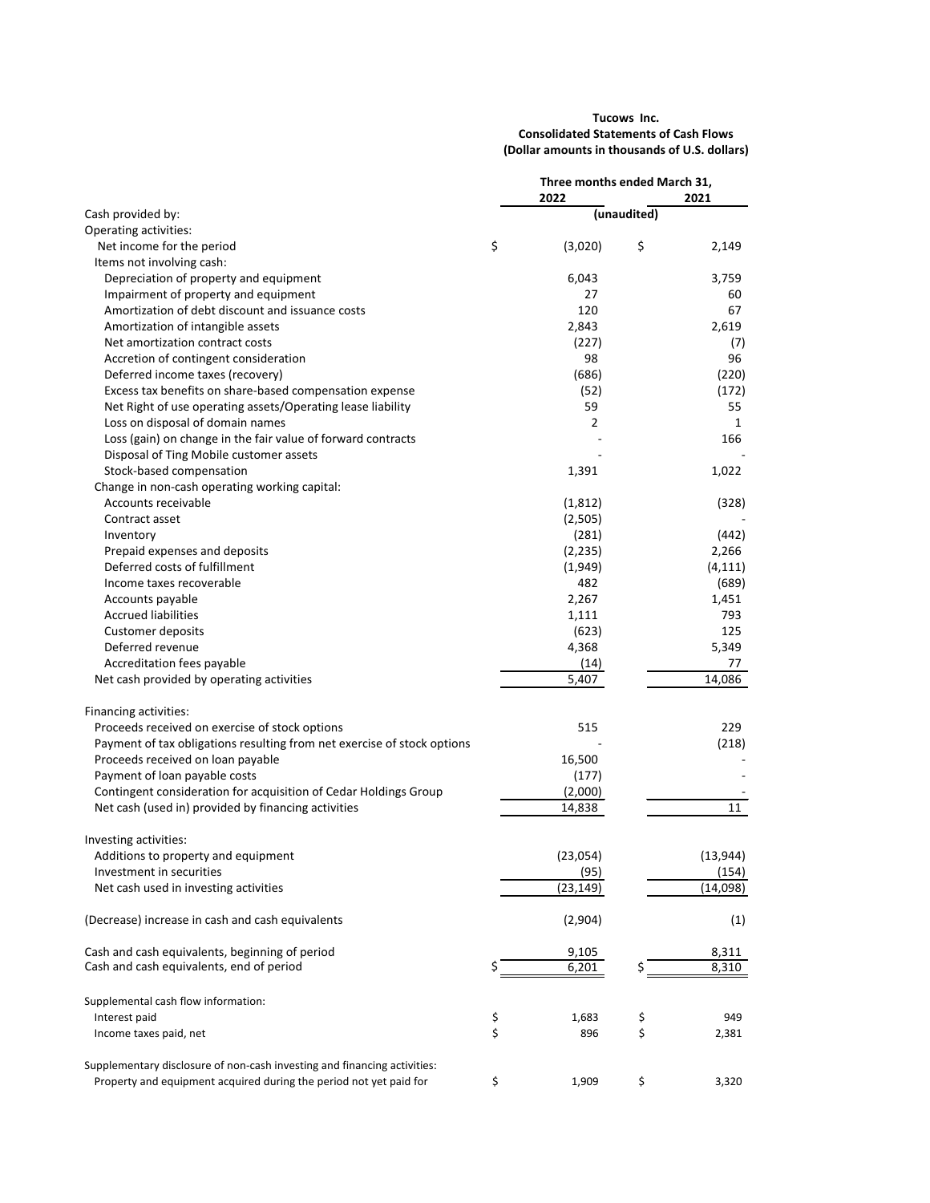### **Tucows Inc. Consolidated Statements of Cash Flows (Dollar amounts in thousands of U.S. dollars)**

|                                                                                                                                                |          | Three months ended March 31, |             |                |
|------------------------------------------------------------------------------------------------------------------------------------------------|----------|------------------------------|-------------|----------------|
|                                                                                                                                                |          | 2022                         |             | 2021           |
| Cash provided by:<br>Operating activities:                                                                                                     |          |                              | (unaudited) |                |
| Net income for the period                                                                                                                      | \$       | (3,020)                      | \$          | 2,149          |
| Items not involving cash:                                                                                                                      |          |                              |             |                |
| Depreciation of property and equipment                                                                                                         |          | 6,043                        |             | 3,759          |
| Impairment of property and equipment                                                                                                           |          | 27                           |             | 60             |
| Amortization of debt discount and issuance costs                                                                                               |          | 120                          |             | 67             |
|                                                                                                                                                |          |                              |             |                |
| Amortization of intangible assets                                                                                                              |          | 2,843                        |             | 2,619          |
| Net amortization contract costs                                                                                                                |          | (227)                        |             | (7)            |
| Accretion of contingent consideration                                                                                                          |          | 98                           |             | 96             |
| Deferred income taxes (recovery)                                                                                                               |          | (686)                        |             | (220)          |
| Excess tax benefits on share-based compensation expense                                                                                        |          | (52)                         |             | (172)          |
| Net Right of use operating assets/Operating lease liability                                                                                    |          | 59                           |             | 55             |
| Loss on disposal of domain names                                                                                                               |          | 2                            |             | $\mathbf{1}$   |
| Loss (gain) on change in the fair value of forward contracts                                                                                   |          |                              |             | 166            |
| Disposal of Ting Mobile customer assets                                                                                                        |          |                              |             |                |
| Stock-based compensation                                                                                                                       |          | 1,391                        |             | 1,022          |
| Change in non-cash operating working capital:                                                                                                  |          |                              |             |                |
| Accounts receivable                                                                                                                            |          | (1, 812)                     |             | (328)          |
| Contract asset                                                                                                                                 |          | (2,505)                      |             |                |
| Inventory                                                                                                                                      |          | (281)                        |             | (442)          |
| Prepaid expenses and deposits                                                                                                                  |          | (2, 235)                     |             | 2,266          |
| Deferred costs of fulfillment                                                                                                                  |          | (1,949)                      |             | (4, 111)       |
| Income taxes recoverable                                                                                                                       |          | 482                          |             | (689)          |
| Accounts payable                                                                                                                               |          | 2,267                        |             | 1,451          |
| <b>Accrued liabilities</b>                                                                                                                     |          | 1,111                        |             | 793            |
| Customer deposits                                                                                                                              |          | (623)                        |             | 125            |
| Deferred revenue                                                                                                                               |          | 4,368                        |             | 5,349          |
| Accreditation fees payable                                                                                                                     |          | (14)                         |             | 77             |
| Net cash provided by operating activities                                                                                                      |          | 5,407                        |             | 14,086         |
|                                                                                                                                                |          |                              |             |                |
| Financing activities:<br>Proceeds received on exercise of stock options                                                                        |          |                              |             | 229            |
| Payment of tax obligations resulting from net exercise of stock options                                                                        |          | 515                          |             |                |
|                                                                                                                                                |          |                              |             | (218)          |
| Proceeds received on loan payable                                                                                                              |          | 16,500                       |             |                |
| Payment of loan payable costs                                                                                                                  |          | (177)                        |             |                |
| Contingent consideration for acquisition of Cedar Holdings Group                                                                               |          | (2,000)                      |             |                |
| Net cash (used in) provided by financing activities                                                                                            |          | 14,838                       |             | 11             |
| Investing activities:                                                                                                                          |          |                              |             |                |
| Additions to property and equipment                                                                                                            |          | (23,054)                     |             | (13, 944)      |
| Investment in securities                                                                                                                       |          | (95)                         |             | (154)          |
| Net cash used in investing activities                                                                                                          |          | (23, 149)                    |             | (14,098)       |
| (Decrease) increase in cash and cash equivalents                                                                                               |          | (2,904)                      |             | (1)            |
| Cash and cash equivalents, beginning of period                                                                                                 |          | 9,105                        |             | 8,311          |
| Cash and cash equivalents, end of period                                                                                                       | Ś        | 6,201                        |             | $\sqrt{8,310}$ |
| Supplemental cash flow information:                                                                                                            |          |                              |             |                |
| Interest paid                                                                                                                                  |          | 1,683                        | \$          | 949            |
| Income taxes paid, net                                                                                                                         | \$<br>\$ | 896                          | \$          | 2,381          |
|                                                                                                                                                |          |                              |             |                |
| Supplementary disclosure of non-cash investing and financing activities:<br>Property and equipment acquired during the period not yet paid for | \$       | 1,909                        | \$          | 3,320          |
|                                                                                                                                                |          |                              |             |                |